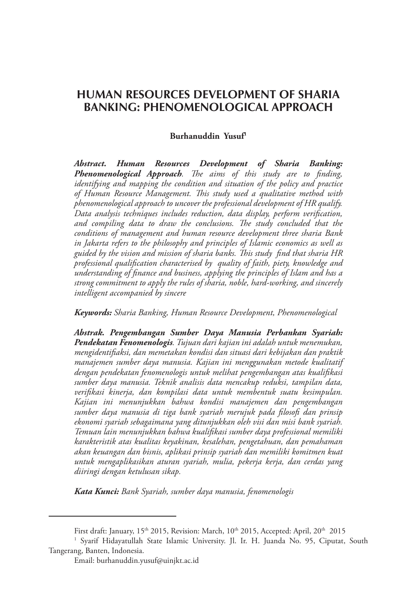# **HUMAN RESOURCES DEVELOPMENT OF SHARIA BANKING: PHENOMENOLOGICAL APPROACH**

#### **Burhanuddin Yusuf1**

*Abstract. Human Resources Development of Sharia Banking: Phenomenological Approach. The aims of this study are to finding, identifying and mapping the condition and situation of the policy and practice of Human Resource Management. This study used a qualitative method with phenomenological approach to uncover the professional development of HR qualify. Data analysis techniques includes reduction, data display, perform verification, and compiling data to draw the conclusions. The study concluded that the conditions of management and human resource development three sharia Bank in Jakarta refers to the philosophy and principles of Islamic economics as well as guided by the vision and mission of sharia banks. This study find that sharia HR professional qualification characterised by quality of faith, piety, knowledge and understanding of finance and business, applying the principles of Islam and has a strong commitment to apply the rules of sharia, noble, hard-working, and sincerely intelligent accompanied by sincere*

*Keywords: Sharia Banking, Human Resource Development, Phenomenological*

*Abstrak. Pengembangan Sumber Daya Manusia Perbankan Syariah: Pendekatan Fenomenologis. Tujuan dari kajian ini adalah untuk menemukan, mengidentifiaksi, dan memetakan kondisi dan situasi dari kebijakan dan praktik manajemen sumber daya manusia. Kajian ini menggunakan metode kualitatif dengan pendekatan fenomenologis untuk melihat pengembangan atas kualifikasi sumber daya manusia. Teknik analisis data mencakup reduksi, tampilan data, verifikasi kinerja, dan kompilasi data untuk membentuk suatu kesimpulan. Kajian ini menunjukkan bahwa kondisi manajemen dan pengembangan sumber daya manusia di tiga bank syariah merujuk pada filosofi dan prinsip ekonomi syariah sebagaimana yang ditunjukkan oleh visi dan misi bank syariah. Temuan lain menunjukkan bahwa kualifikasi sumber daya professional memiliki karakteristik atas kualitas keyakinan, kesalehan, pengetahuan, dan pemahaman akan keuangan dan bisnis, aplikasi prinsip syariah dan memiliki komitmen kuat untuk mengaplikasikan aturan syariah, mulia, pekerja kerja, dan cerdas yang diiringi dengan ketulusan sikap.*

*Kata Kunci: Bank Syariah, sumber daya manusia, fenomenologis*

First draft: January, 15<sup>th</sup> 2015, Revision: March, 10<sup>th</sup> 2015, Accepted: April, 20<sup>th</sup> 2015

<sup>1</sup> Syarif Hidayatullah State Islamic University. Jl. Ir. H. Juanda No. 95, Ciputat, South Tangerang, Banten, Indonesia.

Email: burhanuddin.yusuf@uinjkt.ac.id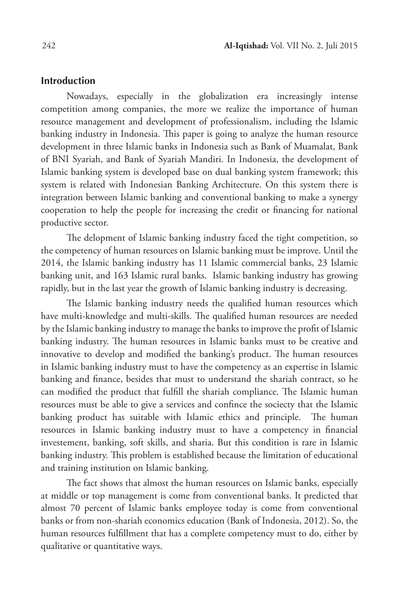#### **Introduction**

Nowadays, especially in the globalization era increasingly intense competition among companies, the more we realize the importance of human resource management and development of professionalism, including the Islamic banking industry in Indonesia. This paper is going to analyze the human resource development in three Islamic banks in Indonesia such as Bank of Muamalat, Bank of BNI Syariah, and Bank of Syariah Mandiri. In Indonesia, the development of Islamic banking system is developed base on dual banking system framework; this system is related with Indonesian Banking Architecture. On this system there is integration between Islamic banking and conventional banking to make a synergy cooperation to help the people for increasing the credit or financing for national productive sector.

The delopment of Islamic banking industry faced the tight competition, so the competency of human resources on Islamic banking must be improve. Until the 2014, the Islamic banking industry has 11 Islamic commercial banks, 23 Islamic banking unit, and 163 Islamic rural banks. Islamic banking industry has growing rapidly, but in the last year the growth of Islamic banking industry is decreasing.

The Islamic banking industry needs the qualified human resources which have multi-knowledge and multi-skills. The qualified human resources are needed by the Islamic banking industry to manage the banks to improve the profit of Islamic banking industry. The human resources in Islamic banks must to be creative and innovative to develop and modified the banking's product. The human resources in Islamic banking industry must to have the competency as an expertise in Islamic banking and finance, besides that must to understand the shariah contract, so he can modified the product that fulfill the shariah compliance. The Islamic human resources must be able to give a services and confince the sociecty that the Islamic banking product has suitable with Islamic ethics and principle. The human resources in Islamic banking industry must to have a competency in financial investement, banking, soft skills, and sharia. But this condition is rare in Islamic banking industry. This problem is established because the limitation of educational and training institution on Islamic banking.

The fact shows that almost the human resources on Islamic banks, especially at middle or top management is come from conventional banks. It predicted that almost 70 percent of Islamic banks employee today is come from conventional banks or from non-shariah economics education (Bank of Indonesia, 2012). So, the human resources fulfillment that has a complete competency must to do, either by qualitative or quantitative ways.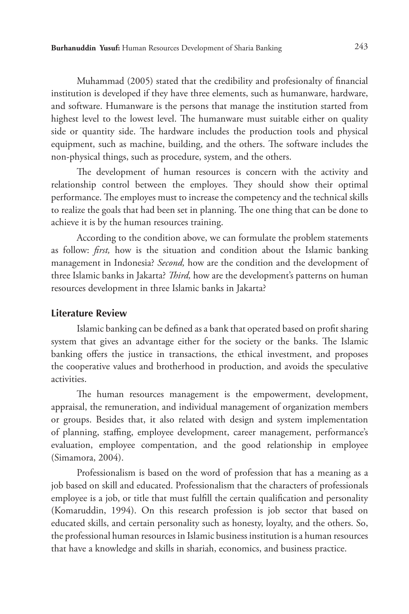Muhammad (2005) stated that the credibility and profesionalty of financial institution is developed if they have three elements, such as humanware, hardware, and software. Humanware is the persons that manage the institution started from highest level to the lowest level. The humanware must suitable either on quality side or quantity side. The hardware includes the production tools and physical equipment, such as machine, building, and the others. The software includes the non-physical things, such as procedure, system, and the others.

The development of human resources is concern with the activity and relationship control between the employes. They should show their optimal performance. The employes must to increase the competency and the technical skills to realize the goals that had been set in planning. The one thing that can be done to achieve it is by the human resources training.

According to the condition above, we can formulate the problem statements as follow: *first,* how is the situation and condition about the Islamic banking management in Indonesia? *Second,* how are the condition and the development of three Islamic banks in Jakarta? *Third,* how are the development's patterns on human resources development in three Islamic banks in Jakarta?

#### **Literature Review**

Islamic banking can be defined as a bank that operated based on profit sharing system that gives an advantage either for the society or the banks. The Islamic banking offers the justice in transactions, the ethical investment, and proposes the cooperative values and brotherhood in production, and avoids the speculative activities.

The human resources management is the empowerment, development, appraisal, the remuneration, and individual management of organization members or groups. Besides that, it also related with design and system implementation of planning, staffing, employee development, career management, performance's evaluation, employee compentation, and the good relationship in employee (Simamora, 2004).

Professionalism is based on the word of profession that has a meaning as a job based on skill and educated. Professionalism that the characters of professionals employee is a job, or title that must fulfill the certain qualification and personality (Komaruddin, 1994). On this research profession is job sector that based on educated skills, and certain personality such as honesty, loyalty, and the others. So, the professional human resources in Islamic business institution is a human resources that have a knowledge and skills in shariah, economics, and business practice.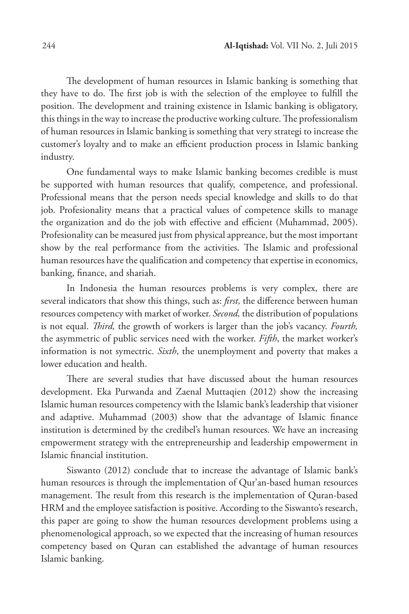The development of human resources in Islamic banking is something that they have to do. The first job is with the selection of the employee to fulfill the position. The development and training existence in Islamic banking is obligatory, this things in the way to increase the productive working culture. The professionalism of human resources in Islamic banking is something that very strategi to increase the customer's loyalty and to make an efficient production process in Islamic banking industry.

One fundamental ways to make Islamic banking becomes credible is must be supported with human resources that qualify, competence, and professional. Professional means that the person needs special knowledge and skills to do that job. Profesionality means that a practical values of competence skills to manage the organization and do the job with effective and efficient (Muhammad, 2005). Profesionality can be measured just from physical appreance, but the most important show by the real performance from the activities. The Islamic and professional human resources have the qualification and competency that expertise in economics, banking, finance, and shariah.

In Indonesia the human resources problems is very complex, there are several indicators that show this things, such as: *first,* the difference between human resources competency with market of worker. *Second,* the distribution of populations is not equal. *Third,* the growth of workers is larger than the job's vacancy. *Fourth,*  the asymmetric of public services need with the worker. *Fifth*, the market worker's information is not symectric. *Sixth*, the unemployment and poverty that makes a lower education and health.

There are several studies that have discussed about the human resources development. Eka Purwanda and Zaenal Muttaqien (2012) show the increasing Islamic human resources competency with the Islamic bank's leadership that visioner and adaptive. Muhammad (2003) show that the advantage of Islamic finance institution is determined by the credibel's human resources. We have an increasing empowerment strategy with the entrepreneurship and leadership empowerment in Islamic financial institution.

Siswanto (2012) conclude that to increase the advantage of Islamic bank's human resources is through the implementation of Qur'an-based human resources management. The result from this research is the implementation of Quran-based HRM and the employee satisfaction is positive. According to the Siswanto's research, this paper are going to show the human resources development problems using a phenomenological approach, so we expected that the increasing of human resources competency based on Quran can established the advantage of human resources Islamic banking.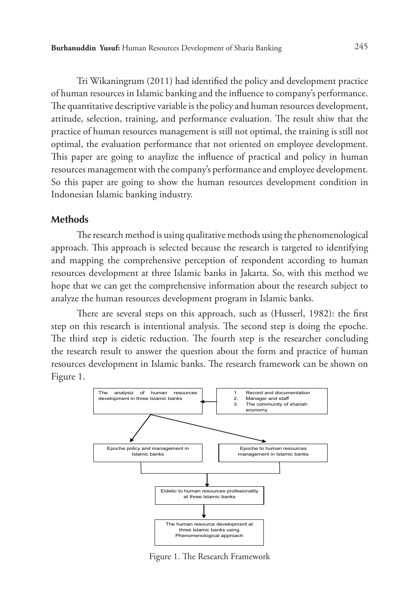Tri Wikaningrum (2011) had identified the policy and development practice of human resources in Islamic banking and the influence to company's performance. The quantitative descriptive variable is the policy and human resources development, attitude, selection, training, and performance evaluation. The result shiw that the practice of human resources management is still not optimal, the training is still not optimal, the evaluation performance that not oriented on employee development. This paper are going to anaylize the influence of practical and policy in human resources management with the company's performance and employee development. So this paper are going to show the human resources development condition in Indonesian Islamic banking industry.

#### **Methods**

The research method is using qualitative methods using the phenomenological approach. This approach is selected because the research is targeted to identifying and mapping the comprehensive perception of respondent according to human resources development at three Islamic banks in Jakarta. So, with this method we hope that we can get the comprehensive information about the research subject to analyze the human resources development program in Islamic banks.

There are several steps on this approach, such as (Husserl, 1982): the first step on this research is intentional analysis. The second step is doing the epoche. The third step is eidetic reduction. The fourth step is the researcher concluding the research result to answer the question about the form and practice of human resources development in Islamic banks. The research framework can be shown on Figure 1.



Figure 1. The Research Framework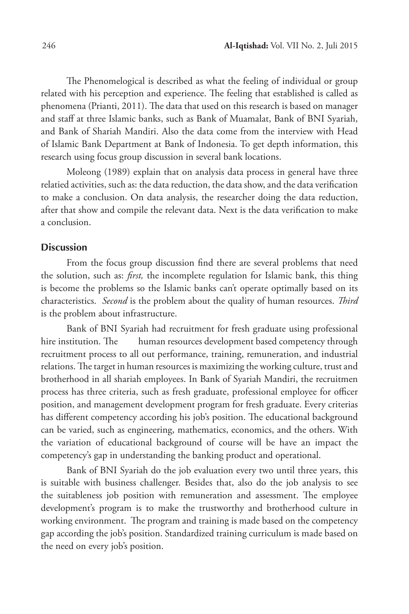The Phenomelogical is described as what the feeling of individual or group related with his perception and experience. The feeling that established is called as phenomena (Prianti, 2011). The data that used on this research is based on manager and staff at three Islamic banks, such as Bank of Muamalat, Bank of BNI Syariah, and Bank of Shariah Mandiri. Also the data come from the interview with Head of Islamic Bank Department at Bank of Indonesia. To get depth information, this research using focus group discussion in several bank locations.

Moleong (1989) explain that on analysis data process in general have three relatied activities, such as: the data reduction, the data show, and the data verification to make a conclusion. On data analysis, the researcher doing the data reduction, after that show and compile the relevant data. Next is the data verification to make a conclusion.

# **Discussion**

From the focus group discussion find there are several problems that need the solution, such as: *first,* the incomplete regulation for Islamic bank, this thing is become the problems so the Islamic banks can't operate optimally based on its characteristics. *Second* is the problem about the quality of human resources. *Third* is the problem about infrastructure.

Bank of BNI Syariah had recruitment for fresh graduate using professional hire institution. The human resources development based competency through recruitment process to all out performance, training, remuneration, and industrial relations. The target in human resources is maximizing the working culture, trust and brotherhood in all shariah employees. In Bank of Syariah Mandiri, the recruitmen process has three criteria, such as fresh graduate, professional employee for officer position, and management development program for fresh graduate. Every criterias has different competency according his job's position. The educational background can be varied, such as engineering, mathematics, economics, and the others. With the variation of educational background of course will be have an impact the competency's gap in understanding the banking product and operational.

Bank of BNI Syariah do the job evaluation every two until three years, this is suitable with business challenger. Besides that, also do the job analysis to see the suitableness job position with remuneration and assessment. The employee development's program is to make the trustworthy and brotherhood culture in working environment. The program and training is made based on the competency gap according the job's position. Standardized training curriculum is made based on the need on every job's position.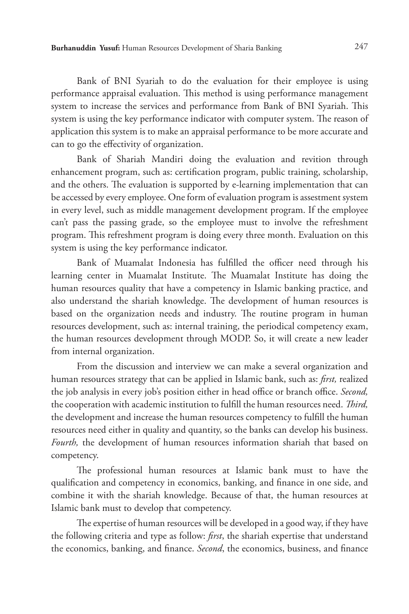Bank of BNI Syariah to do the evaluation for their employee is using performance appraisal evaluation. This method is using performance management system to increase the services and performance from Bank of BNI Syariah. This system is using the key performance indicator with computer system. The reason of application this system is to make an appraisal performance to be more accurate and can to go the effectivity of organization.

Bank of Shariah Mandiri doing the evaluation and revition through enhancement program, such as: certification program, public training, scholarship, and the others. The evaluation is supported by e-learning implementation that can be accessed by every employee. One form of evaluation program is assestment system in every level, such as middle management development program. If the employee can't pass the passing grade, so the employee must to involve the refreshment program. This refreshment program is doing every three month. Evaluation on this system is using the key performance indicator.

Bank of Muamalat Indonesia has fulfilled the officer need through his learning center in Muamalat Institute. The Muamalat Institute has doing the human resources quality that have a competency in Islamic banking practice, and also understand the shariah knowledge. The development of human resources is based on the organization needs and industry. The routine program in human resources development, such as: internal training, the periodical competency exam, the human resources development through MODP. So, it will create a new leader from internal organization.

From the discussion and interview we can make a several organization and human resources strategy that can be applied in Islamic bank, such as: *first,* realized the job analysis in every job's position either in head office or branch office. *Second,*  the cooperation with academic institution to fulfill the human resources need. *Third,*  the development and increase the human resources competency to fulfill the human resources need either in quality and quantity, so the banks can develop his business. *Fourth,* the development of human resources information shariah that based on competency.

The professional human resources at Islamic bank must to have the qualification and competency in economics, banking, and finance in one side, and combine it with the shariah knowledge. Because of that, the human resources at Islamic bank must to develop that competency.

The expertise of human resources will be developed in a good way, if they have the following criteria and type as follow: *first*, the shariah expertise that understand the economics, banking, and finance. *Second*, the economics, business, and finance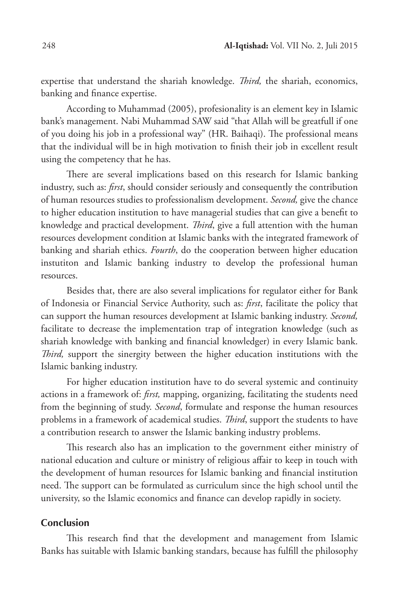expertise that understand the shariah knowledge. *Third,* the shariah, economics, banking and finance expertise.

According to Muhammad (2005), profesionality is an element key in Islamic bank's management. Nabi Muhammad SAW said "that Allah will be greatfull if one of you doing his job in a professional way" (HR. Baihaqi). The professional means that the individual will be in high motivation to finish their job in excellent result using the competency that he has.

There are several implications based on this research for Islamic banking industry, such as: *first*, should consider seriously and consequently the contribution of human resources studies to professionalism development. *Second,* give the chance to higher education institution to have managerial studies that can give a benefit to knowledge and practical development. *Third*, give a full attention with the human resources development condition at Islamic banks with the integrated framework of banking and shariah ethics. *Fourth*, do the cooperation between higher education instutiton and Islamic banking industry to develop the professional human resources.

Besides that, there are also several implications for regulator either for Bank of Indonesia or Financial Service Authority, such as: *first*, facilitate the policy that can support the human resources development at Islamic banking industry. *Second,*  facilitate to decrease the implementation trap of integration knowledge (such as shariah knowledge with banking and financial knowledger) in every Islamic bank. *Third,* support the sinergity between the higher education institutions with the Islamic banking industry.

For higher education institution have to do several systemic and continuity actions in a framework of: *first,* mapping, organizing, facilitating the students need from the beginning of study. *Second*, formulate and response the human resources problems in a framework of academical studies. *Third*, support the students to have a contribution research to answer the Islamic banking industry problems.

This research also has an implication to the government either ministry of national education and culture or ministry of religious affair to keep in touch with the development of human resources for Islamic banking and financial institution need. The support can be formulated as curriculum since the high school until the university, so the Islamic economics and finance can develop rapidly in society.

## **Conclusion**

This research find that the development and management from Islamic Banks has suitable with Islamic banking standars, because has fulfill the philosophy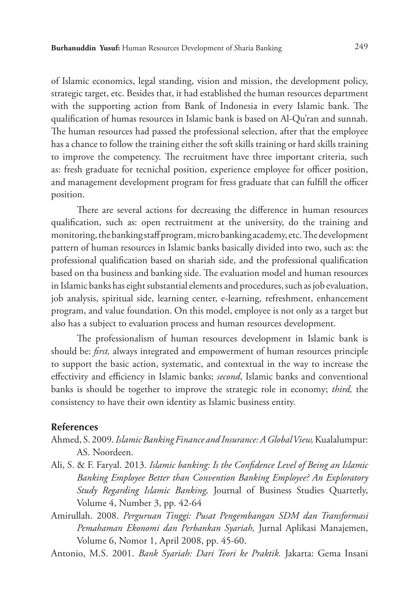of Islamic economics, legal standing, vision and mission, the development policy, strategic target, etc. Besides that, it had established the human resources department with the supporting action from Bank of Indonesia in every Islamic bank. The qualification of humas resources in Islamic bank is based on Al-Qu'ran and sunnah. The human resources had passed the professional selection, after that the employee has a chance to follow the training either the soft skills training or hard skills training to improve the competency. The recruitment have three important criteria, such as: fresh graduate for tecnichal position, experience employee for officer position, and management development program for fress graduate that can fulfill the officer position.

There are several actions for decreasing the difference in human resources qualification, such as: open rectruitment at the university, do the training and monitoring, the banking staff program, micro banking academy, etc. The development pattern of human resources in Islamic banks basically divided into two, such as: the professional qualification based on shariah side, and the professional qualification based on tha business and banking side. The evaluation model and human resources in Islamic banks has eight substantial elements and procedures, such as job evaluation, job analysis, spiritual side, learning center, e-learning, refreshment, enhancement program, and value foundation. On this model, employee is not only as a target but also has a subject to evaluation process and human resources development.

The professionalism of human resources development in Islamic bank is should be: *first,* always integrated and empowerment of human resources principle to support the basic action, systematic, and contextual in the way to increase the effectivity and efficiency in Islamic banks; *second*, Islamic banks and conventional banks is should be together to improve the strategic role in economy; *third,* the consistency to have their own identity as Islamic business entity.

### **References**

- Ahmed, S. 2009. *Islamic Banking Finance and Insurance: A Global View,* Kualalumpur: AS. Noordeen.
- Ali, S. & F. Faryal. 2013. *Islamic banking: Is the Confidence Level of Being an Islamic Banking Employee Better than Convention Banking Employee? An Exploratory Study Regarding Islamic Banking,* Journal of Business Studies Quarterly, Volume 4, Number 3, pp. 42-64
- Amirullah. 2008. *Perguruan Tinggi: Pusat Pengembangan SDM dan Transformasi Pemahaman Ekonomi dan Perbankan Syariah,* Jurnal Aplikasi Manajemen, Volume 6, Nomor 1, April 2008, pp. 45-60.

Antonio, M.S. 2001. *Bank Syariah: Dari Teori ke Praktik.* Jakarta: Gema Insani